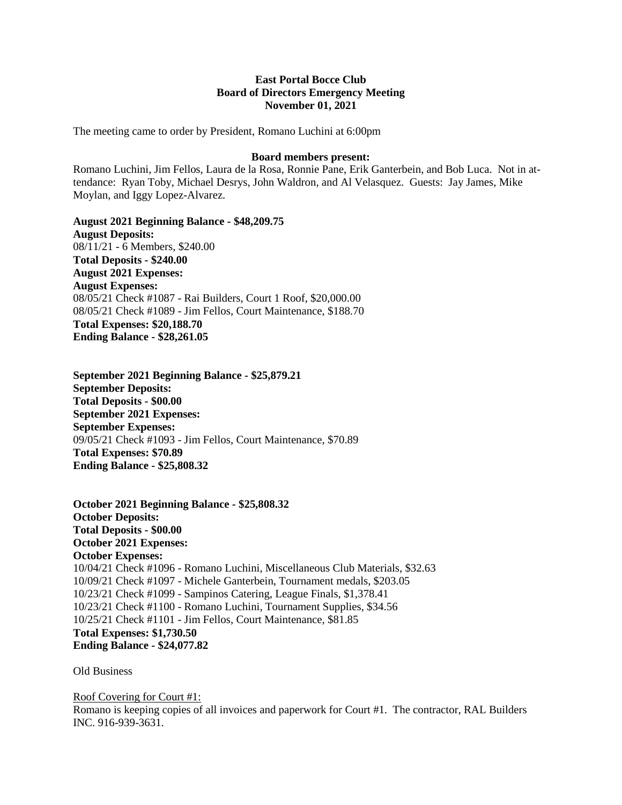## **East Portal Bocce Club Board of Directors Emergency Meeting November 01, 2021**

The meeting came to order by President, Romano Luchini at 6:00pm

## **Board members present:**

Romano Luchini, Jim Fellos, Laura de la Rosa, Ronnie Pane, Erik Ganterbein, and Bob Luca. Not in attendance: Ryan Toby, Michael Desrys, John Waldron, and Al Velasquez. Guests: Jay James, Mike Moylan, and Iggy Lopez-Alvarez.

**August 2021 Beginning Balance - \$48,209.75 August Deposits:** 08/11/21 - 6 Members, \$240.00 **Total Deposits - \$240.00 August 2021 Expenses: August Expenses:** 08/05/21 Check #1087 - Rai Builders, Court 1 Roof, \$20,000.00 08/05/21 Check #1089 - Jim Fellos, Court Maintenance, \$188.70 **Total Expenses: \$20,188.70 Ending Balance - \$28,261.05**

**September 2021 Beginning Balance - \$25,879.21 September Deposits: Total Deposits - \$00.00 September 2021 Expenses: September Expenses:** 09/05/21 Check #1093 - Jim Fellos, Court Maintenance, \$70.89 **Total Expenses: \$70.89 Ending Balance - \$25,808.32**

**October 2021 Beginning Balance - \$25,808.32 October Deposits: Total Deposits - \$00.00 October 2021 Expenses: October Expenses:** 10/04/21 Check #1096 - Romano Luchini, Miscellaneous Club Materials, \$32.63 10/09/21 Check #1097 - Michele Ganterbein, Tournament medals, \$203.05 10/23/21 Check #1099 - Sampinos Catering, League Finals, \$1,378.41 10/23/21 Check #1100 - Romano Luchini, Tournament Supplies, \$34.56 10/25/21 Check #1101 - Jim Fellos, Court Maintenance, \$81.85 **Total Expenses: \$1,730.50 Ending Balance - \$24,077.82**

Old Business

Roof Covering for Court #1:

Romano is keeping copies of all invoices and paperwork for Court #1.The contractor, RAL Builders INC. 916-939-3631.